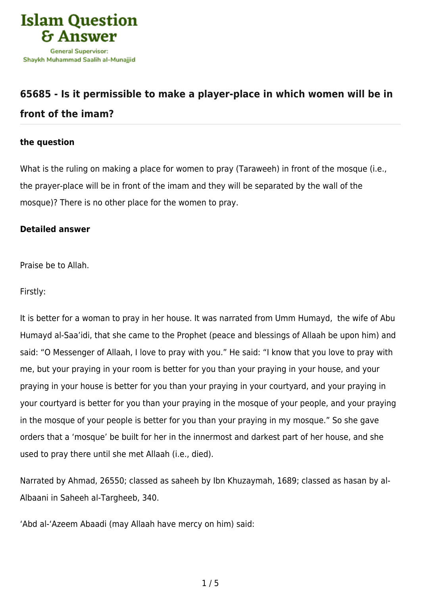

## **[65685 - Is it permissible to make a player-place in which women will be in](https://islamqa.com/en/answers/65685/is-it-permissible-to-make-a-player-place-in-which-women-will-be-in-front-of-the-imam) [front of the imam?](https://islamqa.com/en/answers/65685/is-it-permissible-to-make-a-player-place-in-which-women-will-be-in-front-of-the-imam)**

## **the question**

What is the ruling on making a place for women to pray (Taraweeh) in front of the mosque (i.e., the prayer-place will be in front of the imam and they will be separated by the wall of the mosque)? There is no other place for the women to pray.

## **Detailed answer**

Praise be to Allah.

Firstly:

It is better for a woman to pray in her house. It was narrated from Umm Humayd, the wife of Abu Humayd al-Saa'idi, that she came to the Prophet (peace and blessings of Allaah be upon him) and said: "O Messenger of Allaah, I love to pray with you." He said: "I know that you love to pray with me, but your praying in your room is better for you than your praying in your house, and your praying in your house is better for you than your praying in your courtyard, and your praying in your courtyard is better for you than your praying in the mosque of your people, and your praying in the mosque of your people is better for you than your praying in my mosque." So she gave orders that a 'mosque' be built for her in the innermost and darkest part of her house, and she used to pray there until she met Allaah (i.e., died).

Narrated by Ahmad, 26550; classed as saheeh by Ibn Khuzaymah, 1689; classed as hasan by al-Albaani in Saheeh al-Targheeb, 340.

'Abd al-'Azeem Abaadi (may Allaah have mercy on him) said: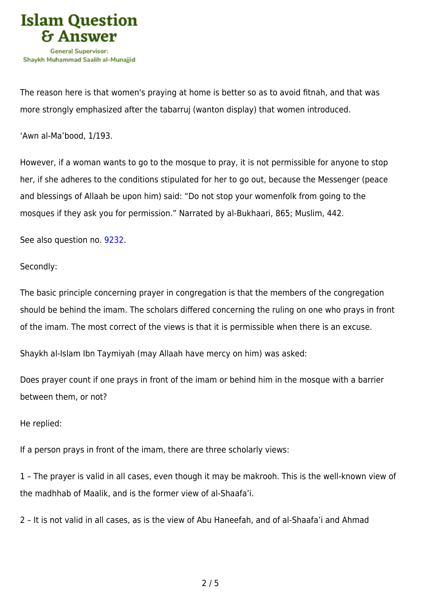

The reason here is that women's praying at home is better so as to avoid fitnah, and that was more strongly emphasized after the tabarruj (wanton display) that women introduced.

'Awn al-Ma'bood, 1/193.

However, if a woman wants to go to the mosque to pray, it is not permissible for anyone to stop her, if she adheres to the conditions stipulated for her to go out, because the Messenger (peace and blessings of Allaah be upon him) said: "Do not stop your womenfolk from going to the mosques if they ask you for permission." Narrated by al-Bukhaari, 865; Muslim, 442.

See also question no. [9232](https://islamqa.com/en/answers/9232).

Secondly:

The basic principle concerning prayer in congregation is that the members of the congregation should be behind the imam. The scholars differed concerning the ruling on one who prays in front of the imam. The most correct of the views is that it is permissible when there is an excuse.

Shaykh al-Islam Ibn Taymiyah (may Allaah have mercy on him) was asked:

Does prayer count if one prays in front of the imam or behind him in the mosque with a barrier between them, or not?

He replied:

If a person prays in front of the imam, there are three scholarly views:

1 – The prayer is valid in all cases, even though it may be makrooh. This is the well-known view of the madhhab of Maalik, and is the former view of al-Shaafa'i.

2 – It is not valid in all cases, as is the view of Abu Haneefah, and of al-Shaafa'i and Ahmad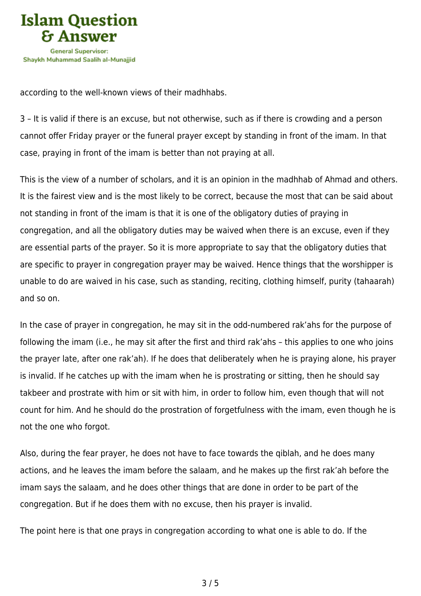

according to the well-known views of their madhhabs.

3 – It is valid if there is an excuse, but not otherwise, such as if there is crowding and a person cannot offer Friday prayer or the funeral prayer except by standing in front of the imam. In that case, praying in front of the imam is better than not praying at all.

This is the view of a number of scholars, and it is an opinion in the madhhab of Ahmad and others. It is the fairest view and is the most likely to be correct, because the most that can be said about not standing in front of the imam is that it is one of the obligatory duties of praying in congregation, and all the obligatory duties may be waived when there is an excuse, even if they are essential parts of the prayer. So it is more appropriate to say that the obligatory duties that are specific to prayer in congregation prayer may be waived. Hence things that the worshipper is unable to do are waived in his case, such as standing, reciting, clothing himself, purity (tahaarah) and so on.

In the case of prayer in congregation, he may sit in the odd-numbered rak'ahs for the purpose of following the imam (i.e., he may sit after the first and third rak'ahs – this applies to one who joins the prayer late, after one rak'ah). If he does that deliberately when he is praying alone, his prayer is invalid. If he catches up with the imam when he is prostrating or sitting, then he should say takbeer and prostrate with him or sit with him, in order to follow him, even though that will not count for him. And he should do the prostration of forgetfulness with the imam, even though he is not the one who forgot.

Also, during the fear prayer, he does not have to face towards the qiblah, and he does many actions, and he leaves the imam before the salaam, and he makes up the first rak'ah before the imam says the salaam, and he does other things that are done in order to be part of the congregation. But if he does them with no excuse, then his prayer is invalid.

The point here is that one prays in congregation according to what one is able to do. If the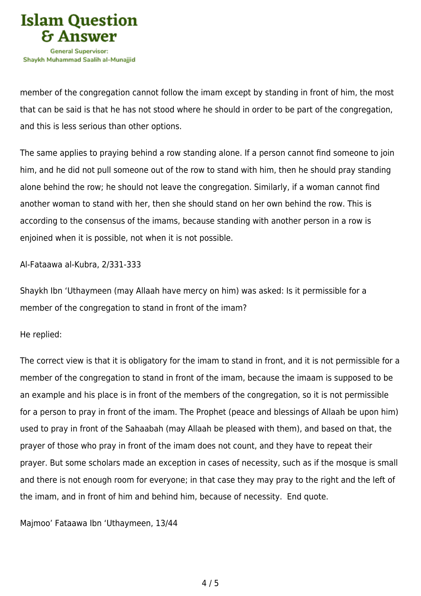

member of the congregation cannot follow the imam except by standing in front of him, the most that can be said is that he has not stood where he should in order to be part of the congregation, and this is less serious than other options.

The same applies to praying behind a row standing alone. If a person cannot find someone to join him, and he did not pull someone out of the row to stand with him, then he should pray standing alone behind the row; he should not leave the congregation. Similarly, if a woman cannot find another woman to stand with her, then she should stand on her own behind the row. This is according to the consensus of the imams, because standing with another person in a row is enjoined when it is possible, not when it is not possible.

Al-Fataawa al-Kubra, 2/331-333

Shaykh Ibn 'Uthaymeen (may Allaah have mercy on him) was asked: Is it permissible for a member of the congregation to stand in front of the imam?

He replied:

The correct view is that it is obligatory for the imam to stand in front, and it is not permissible for a member of the congregation to stand in front of the imam, because the imaam is supposed to be an example and his place is in front of the members of the congregation, so it is not permissible for a person to pray in front of the imam. The Prophet (peace and blessings of Allaah be upon him) used to pray in front of the Sahaabah (may Allaah be pleased with them), and based on that, the prayer of those who pray in front of the imam does not count, and they have to repeat their prayer. But some scholars made an exception in cases of necessity, such as if the mosque is small and there is not enough room for everyone; in that case they may pray to the right and the left of the imam, and in front of him and behind him, because of necessity. End quote.

Majmoo' Fataawa Ibn 'Uthaymeen, 13/44